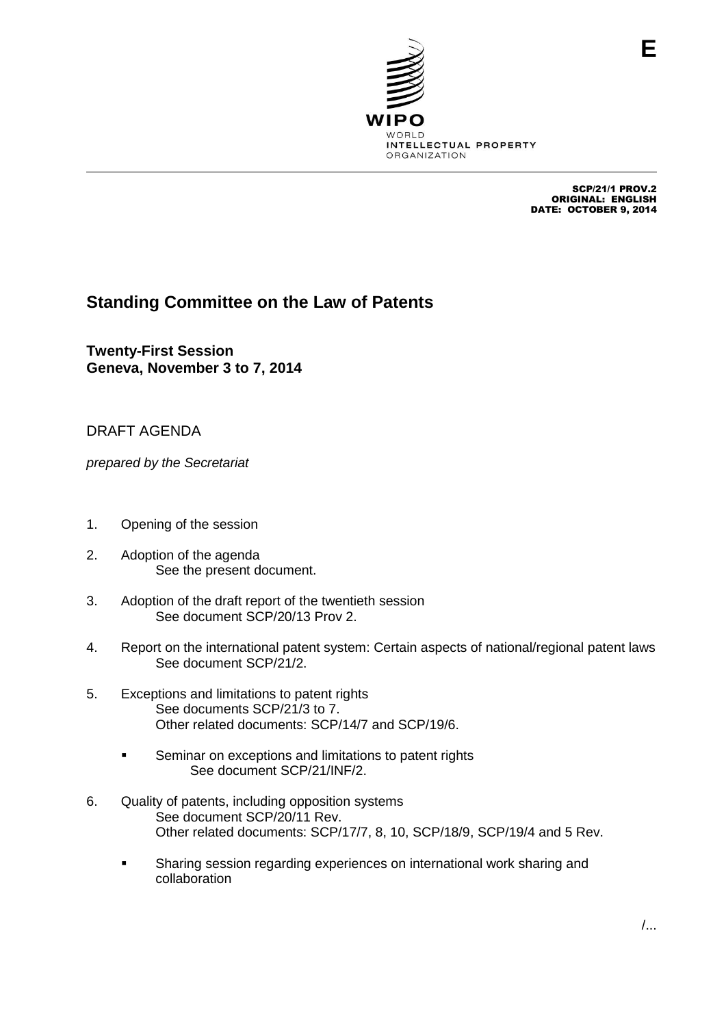

SCP/21/1 PROV.2 ORIGINAL: ENGLISH DATE: OCTOBER 9, 2014

**E**

## **Standing Committee on the Law of Patents**

**Twenty-First Session Geneva, November 3 to 7, 2014**

DRAFT AGENDA

*prepared by the Secretariat*

- 1. Opening of the session
- 2. Adoption of the agenda See the present document.
- 3. Adoption of the draft report of the twentieth session See document SCP/20/13 Prov 2.
- 4. Report on the international patent system: Certain aspects of national/regional patent laws See document SCP/21/2.
- 5. Exceptions and limitations to patent rights See documents SCP/21/3 to 7. Other related documents: SCP/14/7 and SCP/19/6.
	- **Seminar on exceptions and limitations to patent rights** See document SCP/21/INF/2.
- 6. Quality of patents, including opposition systems See document SCP/20/11 Rev. Other related documents: SCP/17/7, 8, 10, SCP/18/9, SCP/19/4 and 5 Rev.
	- **Sharing session regarding experiences on international work sharing and** collaboration